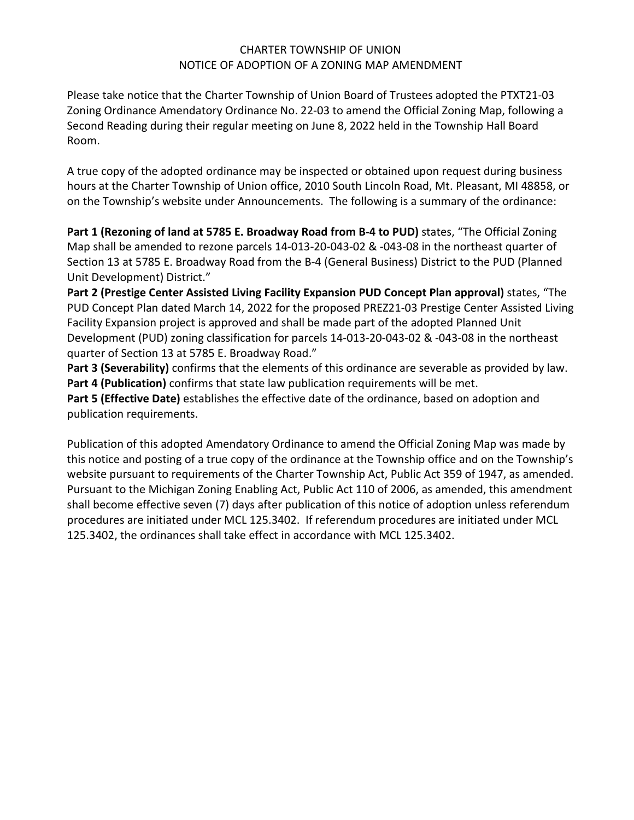#### CHARTER TOWNSHIP OF UNION NOTICE OF ADOPTION OF A ZONING MAP AMENDMENT

Please take notice that the Charter Township of Union Board of Trustees adopted the PTXT21-03 Zoning Ordinance Amendatory Ordinance No. 22-03 to amend the Official Zoning Map, following a Second Reading during their regular meeting on June 8, 2022 held in the Township Hall Board Room.

A true copy of the adopted ordinance may be inspected or obtained upon request during business hours at the Charter Township of Union office, 2010 South Lincoln Road, Mt. Pleasant, MI 48858, or on the Township's website under Announcements. The following is a summary of the ordinance:

**Part 1 (Rezoning of land at 5785 E. Broadway Road from B-4 to PUD)** states, "The Official Zoning Map shall be amended to rezone parcels 14-013-20-043-02 & -043-08 in the northeast quarter of Section 13 at 5785 E. Broadway Road from the B-4 (General Business) District to the PUD (Planned Unit Development) District."

**Part 2 (Prestige Center Assisted Living Facility Expansion PUD Concept Plan approval)** states, "The PUD Concept Plan dated March 14, 2022 for the proposed PREZ21-03 Prestige Center Assisted Living Facility Expansion project is approved and shall be made part of the adopted Planned Unit Development (PUD) zoning classification for parcels 14-013-20-043-02 & -043-08 in the northeast quarter of Section 13 at 5785 E. Broadway Road."

**Part 3 (Severability)** confirms that the elements of this ordinance are severable as provided by law. **Part 4 (Publication)** confirms that state law publication requirements will be met.

**Part 5 (Effective Date)** establishes the effective date of the ordinance, based on adoption and publication requirements.

Publication of this adopted Amendatory Ordinance to amend the Official Zoning Map was made by this notice and posting of a true copy of the ordinance at the Township office and on the Township's website pursuant to requirements of the Charter Township Act, Public Act 359 of 1947, as amended. Pursuant to the Michigan Zoning Enabling Act, Public Act 110 of 2006, as amended, this amendment shall become effective seven (7) days after publication of this notice of adoption unless referendum procedures are initiated under MCL 125.3402. If referendum procedures are initiated under MCL 125.3402, the ordinances shall take effect in accordance with MCL 125.3402.